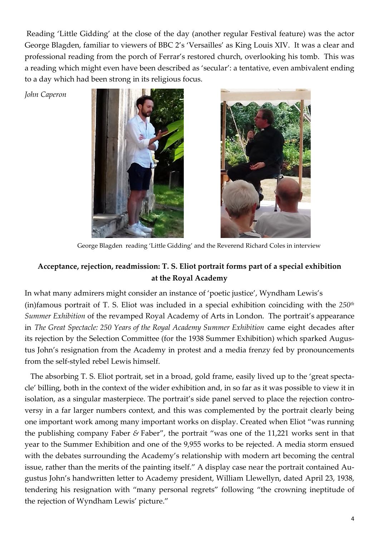Reading 'Little Gidding' at the close of the day (another regular Festival feature) was the actor George Blagden, familiar to viewers of BBC 2's 'Versailles' as King Louis XIV. It was a clear and professional reading from the porch of Ferrar's restored church, overlooking his tomb. This was a reading which might even have been described as 'secular': a tentative, even ambivalent ending to a day which had been strong in its religious focus.

*John Caperon*





George Blagden reading 'Little Gidding' and the Reverend Richard Coles in interview

## **Acceptance, rejection, readmission: T. S. Eliot portrait forms part of a special exhibition at the Royal Academy**

In what many admirers might consider an instance of 'poetic justice', Wyndham Lewis's (in)famous portrait of T. S. Eliot was included in a special exhibition coinciding with the *250th Summer Exhibition* of the revamped Royal Academy of Arts in London. The portrait's appearance in *The Great Spectacle: 250 Years of the Royal Academy Summer Exhibition* came eight decades after its rejection by the Selection Committee (for the 1938 Summer Exhibition) which sparked Augustus John's resignation from the Academy in protest and a media frenzy fed by pronouncements from the self-styled rebel Lewis himself.

 The absorbing T. S. Eliot portrait, set in a broad, gold frame, easily lived up to the 'great spectacle' billing, both in the context of the wider exhibition and, in so far as it was possible to view it in isolation, as a singular masterpiece. The portrait's side panel served to place the rejection controversy in a far larger numbers context, and this was complemented by the portrait clearly being one important work among many important works on display. Created when Eliot "was running the publishing company Faber *&* Faber", the portrait "was one of the 11,221 works sent in that year to the Summer Exhibition and one of the 9,955 works to be rejected. A media storm ensued with the debates surrounding the Academy's relationship with modern art becoming the central issue, rather than the merits of the painting itself." A display case near the portrait contained Augustus John's handwritten letter to Academy president, William Llewellyn, dated April 23, 1938, tendering his resignation with "many personal regrets" following "the crowning ineptitude of the rejection of Wyndham Lewis' picture."